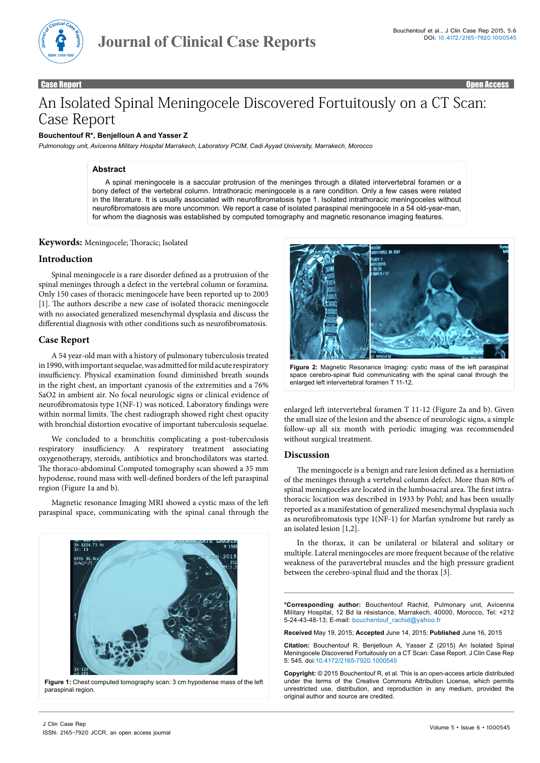

Case Report **Case Report Case Access Access** and Case Access Access Access Access Access Access Access Access Access Access Access Access Access Access Access Access Access Access Access Access Access Access Access Access

# An Isolated Spinal Meningocele Discovered Fortuitously on a CT Scan: Case Report

## **Bouchentouf R\*, Benjelloun A and Yasser Z**

*Pulmonology unit, Avicenna Military Hospital Marrakech, Laboratory PCIM, Cadi Ayyad University, Marrakech, Morocco*

#### **Abstract**

A spinal meningocele is a saccular protrusion of the meninges through a dilated intervertebral foramen or a bony defect of the vertebral column. Intrathoracic meningocele is a rare condition. Only a few cases were related in the literature. It is usually associated with neurofibromatosis type 1. Isolated intrathoracic meningoceles without neurofibromatosis are more uncommon. We report a case of isolated paraspinal meningocele in a 54 old-year-man, for whom the diagnosis was established by computed tomography and magnetic resonance imaging features.

# **Keywords:** Meningocele; Thoracic; Isolated

#### **Introduction**

Spinal meningocele is a rare disorder defined as a protrusion of the spinal meninges through a defect in the vertebral column or foramina. Only 150 cases of thoracic meningocele have been reported up to 2003 [1]. The authors describe a new case of isolated thoracic meningocele with no associated generalized mesenchymal dysplasia and discuss the differential diagnosis with other conditions such as neurofibromatosis.

#### **Case Report**

A 54 year-old man with a history of pulmonary tuberculosis treated in 1990, with important sequelae, was admitted for mild acute respiratory insufficiency. Physical examination found diminished breath sounds in the right chest, an important cyanosis of the extremities and a 76% SaO2 in ambient air. No focal neurologic signs or clinical evidence of neurofibromatosis type 1(NF-1) was noticed. Laboratory findings were within normal limits. The chest radiograph showed right chest opacity with bronchial distortion evocative of important tuberculosis sequelae.

We concluded to a bronchitis complicating a post-tuberculosis respiratory insufficiency. A respiratory treatment associating oxygenotherapy, steroids, antibiotics and bronchodilators was started. The thoraco-abdominal Computed tomography scan showed a 35 mm hypodense, round mass with well-defined borders of the left paraspinal region (Figure 1a and b).

Magnetic resonance Imaging MRI showed a cystic mass of the left paraspinal space, communicating with the spinal canal through the







**Figure 2:** Magnetic Resonance Imaging: cystic mass of the left paraspinal space cerebro-spinal fluid communicating with the spinal canal through the enlarged left intervertebral foramen T 11-12.

enlarged left intervertebral foramen T 11-12 (Figure 2a and b). Given the small size of the lesion and the absence of neurologic signs, a simple follow-up all six month with periodic imaging was recommended without surgical treatment.

#### **Discussion**

The meningocele is a benign and rare lesion defined as a herniation of the meninges through a vertebral column defect. More than 80% of spinal meningoceles are located in the lumbosacral area. The first intrathoracic location was described in 1933 by Pohl; and has been usually reported as a manifestation of generalized mesenchymal dysplasia such as neurofibromatosis type 1(NF-1) for Marfan syndrome but rarely as an isolated lesion [1,2].

In the thorax, it can be unilateral or bilateral and solitary or multiple. Lateral meningoceles are more frequent because of the relative weakness of the paravertebral muscles and the high pressure gradient between the cerebro-spinal fluid and the thorax [3].

**\*Corresponding author:** Bouchentouf Rachid, Pulmonary unit, Avicenna Military Hospital, 12 Bd la résistance, Marrakech, 40000, Morocco, Tel: +212 5-24-43-48-13; E-mail: bouchentouf\_rachid@yahoo.fr

**Received** May 19, 2015; **Accepted** June 14, 2015; **Published** June 16, 2015

**Citation:** Bouchentouf R, Benjelloun A, Yasser Z (2015) An Isolated Spinal Meningocele Discovered Fortuitously on a CT Scan: Case Report. J Clin Case Rep 5: 545. doi:10.4172/2165-7920.1000545

**Copyright:** © 2015 Bouchentouf R, et al. This is an open-access article distributed under the terms of the Creative Commons Attribution License, which permits unrestricted use, distribution, and reproduction in any medium, provided the original author and source are credited.